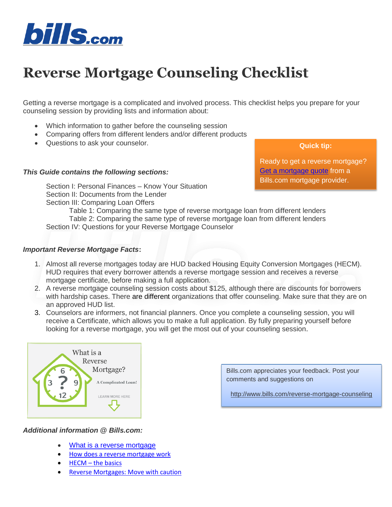

# **Reverse Mortgage Counseling Checklist**

Getting a reverse mortgage is a complicated and involved process. This checklist helps you prepare for your counseling session by providing lists and information about:

- Which information to gather before the counseling session
- Comparing offers from different lenders and/or different products
- Questions to ask your counselor.

### *This Guide contains the following sections:*

[Section I: Personal Finances –](#page-0-0) Know Your Situation [Section II: Documents from the Lender](#page-0-0) Section III: Comparing Loan Offers

[Table 1: Comparing the same type of reverse mortgage loan from different lenders](#page-2-0) [Table 2: Comparing the same type of reverse mortgage loan from different lenders](#page-3-0) [Section IV: Questions for your Reverse Mortgage Counselor](#page-4-0)

### *Important Reverse Mortgage Facts***:**

- 1. Almost all reverse mortgages today are HUD backed Housing Equity Conversion Mortgages (HECM). HUD requires that every borrower attends a reverse mortgage session and receives a reverse mortgage certificate, before making a full application.
- 2. A reverse mortgage counseling session costs about \$125, although there are discounts for borrowers with hardship cases. There are different organizations that offer counseling. Make sure that they are on an approved HUD list.
- 3. Counselors are informers, not financial planners. Once you complete a counseling session, you will receive a Certificate, which allows you to make a full application. By fully preparing yourself before looking for a reverse mortgage, you will get the most out of your counseling session.



*Additional information @ Bills.com:*

- [What is a reverse mortgage](http://www.bills.com/what-is-a-reverse-mortgage/)
- [How does a reverse mortgage work](http://www.bills.com/how-does-a-reverse-mortgage-work/)
- HECM [the basics](http://www.bills.com/hecm/)
- [Reverse Mortgages: Move with caution](http://www.bills.com/reverse-mortgages-learn-prepare-and-go-slow/)

**Quick tip:**

Ready to get a reverse mortgage? [Get a mortgage quote](https://www.bills.com/apply/reverse/) from a Bills.com mortgage provider.

Bills.com appreciates your feedback. Post your comments and suggestions on

<span id="page-0-0"></span><http://www.bills.com/reverse-mortgage-counseling>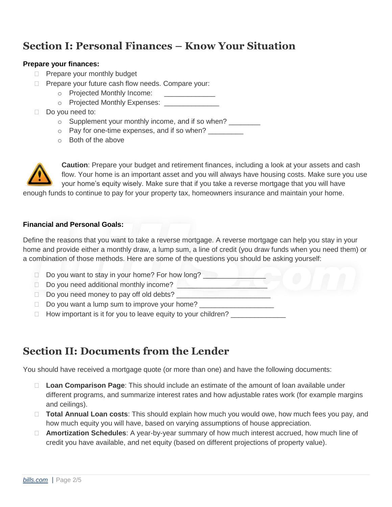# **Section I: Personal Finances – Know Your Situation**

### **Prepare your finances:**

- $\Box$  Prepare your monthly budget
- **Prepare your future cash flow needs. Compare your:** 
	- o Projected Monthly Income:
	- o Projected Monthly Expenses: \_\_\_\_\_\_\_\_\_
- Do you need to:
	- $\circ$  Supplement your monthly income, and if so when?
	- $\circ$  Pay for one-time expenses, and if so when?
	- o Both of the above



**Caution**: Prepare your budget and retirement finances, including a look at your assets and cash flow. Your home is an important asset and you will always have housing costs. Make sure you use your home's equity wisely. Make sure that if you take a reverse mortgage that you will have

enough funds to continue to pay for your property tax, homeowners insurance and maintain your home.

### **Financial and Personal Goals:**

Define the reasons that you want to take a reverse mortgage. A reverse mortgage can help you stay in your home and provide either a monthly draw, a lump sum, a line of credit (you draw funds when you need them) or a combination of those methods. Here are some of the questions you should be asking yourself:

- $\Box$  Do you want to stay in your home? For how long?
- Do you need additional monthly income?
- $\Box$  Do you need money to pay off old debts?
- $\Box$  Do you want a lump sum to improve your home?
- $\Box$  How important is it for you to leave equity to your children?

### **Section II: Documents from the Lender**

You should have received a mortgage quote (or more than one) and have the following documents:

- **Loan Comparison Page**: This should include an estimate of the amount of loan available under different programs, and summarize interest rates and how adjustable rates work (for example margins and ceilings).
- **Total Annual Loan costs**: This should explain how much you would owe, how much fees you pay, and how much equity you will have, based on varying assumptions of house appreciation.
- **Amortization Schedules**: A year-by-year summary of how much interest accrued, how much line of credit you have available, and net equity (based on different projections of property value).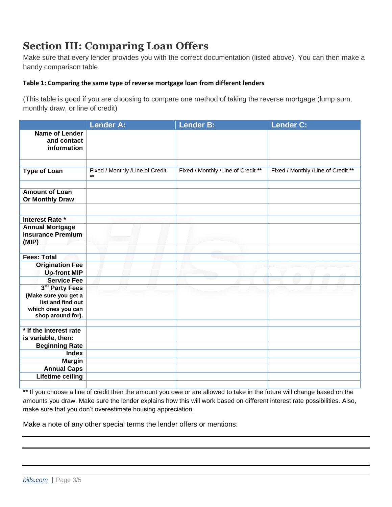# **Section III: Comparing Loan Offers**

Make sure that every lender provides you with the correct documentation (listed above). You can then make a handy comparison table.

### <span id="page-2-0"></span>**Table 1: Comparing the same type of reverse mortgage loan from different lenders**

(This table is good if you are choosing to compare one method of taking the reverse mortgage (lump sum, monthly draw, or line of credit)

|                                                             | <b>Lender A:</b>                                | Lender B:                          | <b>Lender C:</b>                   |
|-------------------------------------------------------------|-------------------------------------------------|------------------------------------|------------------------------------|
| <b>Name of Lender</b><br>and contact<br>information         |                                                 |                                    |                                    |
|                                                             |                                                 |                                    |                                    |
| <b>Type of Loan</b>                                         | Fixed / Monthly /Line of Credit<br>$\star\star$ | Fixed / Monthly /Line of Credit ** | Fixed / Monthly /Line of Credit ** |
|                                                             |                                                 |                                    |                                    |
| <b>Amount of Loan</b><br><b>Or Monthly Draw</b>             |                                                 |                                    |                                    |
|                                                             |                                                 |                                    |                                    |
| <b>Interest Rate *</b>                                      |                                                 |                                    |                                    |
| <b>Annual Mortgage</b><br><b>Insurance Premium</b><br>(MIP) |                                                 |                                    |                                    |
|                                                             |                                                 |                                    |                                    |
| <b>Fees: Total</b>                                          |                                                 |                                    |                                    |
| <b>Origination Fee</b>                                      |                                                 |                                    |                                    |
| <b>Up-front MIP</b>                                         |                                                 |                                    |                                    |
| <b>Service Fee</b>                                          |                                                 |                                    |                                    |
| 3rd Party Fees                                              |                                                 |                                    |                                    |
| (Make sure you get a<br>list and find out                   |                                                 |                                    |                                    |
| which ones you can                                          |                                                 |                                    |                                    |
| shop around for).                                           |                                                 |                                    |                                    |
|                                                             |                                                 |                                    |                                    |
| * If the interest rate                                      |                                                 |                                    |                                    |
| is variable, then:                                          |                                                 |                                    |                                    |
| <b>Beginning Rate</b>                                       |                                                 |                                    |                                    |
| <b>Index</b>                                                |                                                 |                                    |                                    |
| <b>Margin</b><br><b>Annual Caps</b>                         |                                                 |                                    |                                    |
| <b>Lifetime ceiling</b>                                     |                                                 |                                    |                                    |
|                                                             |                                                 |                                    |                                    |

**\*\*** If you choose a line of credit then the amount you owe or are allowed to take in the future will change based on the amounts you draw. Make sure the lender explains how this will work based on different interest rate possibilities. Also, make sure that you don't overestimate housing appreciation.

Make a note of any other special terms the lender offers or mentions: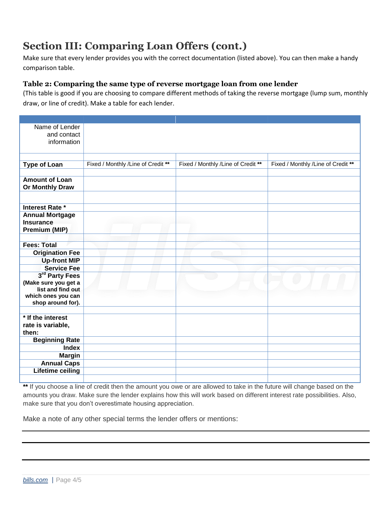# **Section III: Comparing Loan Offers (cont.)**

Make sure that every lender provides you with the correct documentation (listed above). You can then make a handy comparison table.

### <span id="page-3-0"></span>**Table 2: Comparing the same type of reverse mortgage loan from one lender**

(This table is good if you are choosing to compare different methods of taking the reverse mortgage (lump sum, monthly draw, or line of credit). Make a table for each lender.

| Name of Lender<br>and contact<br>information |                                     |                                    |                                    |
|----------------------------------------------|-------------------------------------|------------------------------------|------------------------------------|
|                                              |                                     |                                    |                                    |
| <b>Type of Loan</b>                          | Fixed / Monthly / Line of Credit ** | Fixed / Monthly /Line of Credit ** | Fixed / Monthly /Line of Credit ** |
|                                              |                                     |                                    |                                    |
| <b>Amount of Loan</b>                        |                                     |                                    |                                    |
| <b>Or Monthly Draw</b>                       |                                     |                                    |                                    |
|                                              |                                     |                                    |                                    |
| Interest Rate *                              |                                     |                                    |                                    |
| <b>Annual Mortgage</b>                       |                                     |                                    |                                    |
| <b>Insurance</b>                             |                                     |                                    |                                    |
| Premium (MIP)                                |                                     |                                    |                                    |
|                                              |                                     |                                    |                                    |
| <b>Fees: Total</b>                           |                                     |                                    |                                    |
| <b>Origination Fee</b>                       |                                     |                                    |                                    |
| <b>Up-front MIP</b>                          |                                     |                                    |                                    |
| <b>Service Fee</b>                           |                                     |                                    |                                    |
| 3rd Party Fees                               |                                     |                                    |                                    |
| (Make sure you get a                         |                                     |                                    |                                    |
| list and find out<br>which ones you can      |                                     |                                    |                                    |
| shop around for).                            |                                     |                                    |                                    |
|                                              |                                     |                                    |                                    |
| * If the interest                            |                                     |                                    |                                    |
| rate is variable,                            |                                     |                                    |                                    |
| then:                                        |                                     |                                    |                                    |
| <b>Beginning Rate</b>                        |                                     |                                    |                                    |
| <b>Index</b>                                 |                                     |                                    |                                    |
| <b>Margin</b>                                |                                     |                                    |                                    |
| <b>Annual Caps</b>                           |                                     |                                    |                                    |
| <b>Lifetime ceiling</b>                      |                                     |                                    |                                    |
|                                              |                                     |                                    |                                    |

\*\* If you choose a line of credit then the amount you owe or are allowed to take in the future will change based on the amounts you draw. Make sure the lender explains how this will work based on different interest rate possibilities. Also, make sure that you don't overestimate housing appreciation.

Make a note of any other special terms the lender offers or mentions: